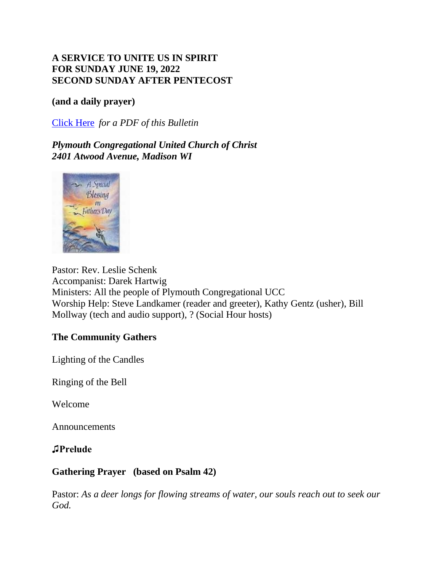# **A SERVICE TO UNITE US IN SPIRIT FOR SUNDAY JUNE 19, 2022 SECOND SUNDAY AFTER PENTECOST**

#### **(and a daily prayer)**

[Click Here](https://mcusercontent.com/7d1344cb4fdcefc292d617932/files/c3459801-9b57-d529-48fe-11a6d83783af/June_12_2022_Bulletin_MC.pdf) *for a PDF of this Bulletin*

*Plymouth Congregational United Church of Christ 2401 Atwood Avenue, Madison WI*



Pastor: Rev. Leslie Schenk Accompanist: Darek Hartwig Ministers: All the people of Plymouth Congregational UCC Worship Help: Steve Landkamer (reader and greeter), Kathy Gentz (usher), Bill Mollway (tech and audio support), ? (Social Hour hosts)

# **The Community Gathers**

Lighting of the Candles

Ringing of the Bell

Welcome

Announcements

**♫Prelude** 

# **Gathering Prayer (based on Psalm 42)**

Pastor: As a deer longs for flowing streams of water, our souls reach out to seek our *God.*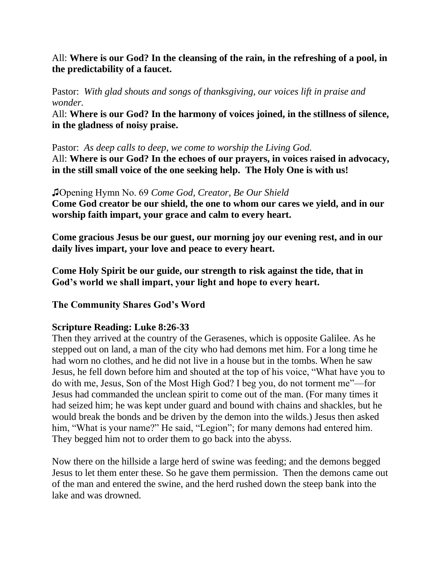# All: **Where is our God? In the cleansing of the rain, in the refreshing of a pool, in the predictability of a faucet.**

Pastor: *With glad shouts and songs of thanksgiving, our voices lift in praise and wonder.*

All: **Where is our God? In the harmony of voices joined, in the stillness of silence, in the gladness of noisy praise.**

Pastor: *As deep calls to deep, we come to worship the Living God.* All: **Where is our God? In the echoes of our prayers, in voices raised in advocacy, in the still small voice of the one seeking help. The Holy One is with us!**

♫Opening Hymn No. 69 *Come God, Creator, Be Our Shield* **Come God creator be our shield, the one to whom our cares we yield, and in our worship faith impart, your grace and calm to every heart.**

**Come gracious Jesus be our guest, our morning joy our evening rest, and in our** 

**Come Holy Spirit be our guide, our strength to risk against the tide, that in God's world we shall impart, your light and hope to every heart.**

**The Community Shares God's Word**

**daily lives impart, your love and peace to every heart.**

# **Scripture Reading: Luke 8:26-33**

Then they arrived at the country of the Gerasenes, which is opposite Galilee. As he stepped out on land, a man of the city who had demons met him. For a long time he had worn no clothes, and he did not live in a house but in the tombs. When he saw Jesus, he fell down before him and shouted at the top of his voice, "What have you to do with me, Jesus, Son of the Most High God? I beg you, do not torment me"—for Jesus had commanded the unclean spirit to come out of the man. (For many times it had seized him; he was kept under guard and bound with chains and shackles, but he would break the bonds and be driven by the demon into the wilds.) Jesus then asked him, "What is your name?" He said, "Legion"; for many demons had entered him. They begged him not to order them to go back into the abyss.

Now there on the hillside a large herd of swine was feeding; and the demons begged Jesus to let them enter these. So he gave them permission. Then the demons came out of the man and entered the swine, and the herd rushed down the steep bank into the lake and was drowned.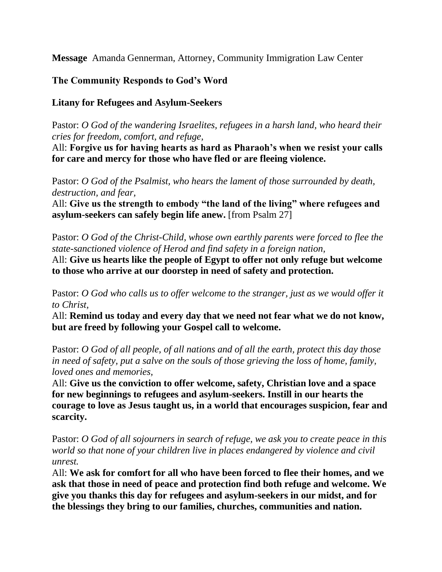**Message** Amanda Gennerman, Attorney, Community Immigration Law Center

# **The Community Responds to God's Word**

#### **Litany for Refugees and Asylum-Seekers**

Pastor: *O God of the wandering Israelites, refugees in a harsh land, who heard their cries for freedom, comfort, and refuge,*

All: **Forgive us for having hearts as hard as Pharaoh's when we resist your calls for care and mercy for those who have fled or are fleeing violence.**

Pastor: *O God of the Psalmist, who hears the lament of those surrounded by death, destruction, and fear,*

All: **Give us the strength to embody "the land of the living" where refugees and asylum-seekers can safely begin life anew.** [from Psalm 27]

Pastor: *O God of the Christ-Child, whose own earthly parents were forced to flee the state-sanctioned violence of Herod and find safety in a foreign nation,*

All: **Give us hearts like the people of Egypt to offer not only refuge but welcome to those who arrive at our doorstep in need of safety and protection.**

Pastor: *O God who calls us to offer welcome to the stranger, just as we would offer it to Christ,*

All: **Remind us today and every day that we need not fear what we do not know, but are freed by following your Gospel call to welcome.**

Pastor: *O God of all people, of all nations and of all the earth, protect this day those in need of safety, put a salve on the souls of those grieving the loss of home, family, loved ones and memories,*

All: **Give us the conviction to offer welcome, safety, Christian love and a space for new beginnings to refugees and asylum-seekers. Instill in our hearts the courage to love as Jesus taught us, in a world that encourages suspicion, fear and scarcity.**

Pastor: *O God of all sojourners in search of refuge, we ask you to create peace in this world so that none of your children live in places endangered by violence and civil unrest.*

All: **We ask for comfort for all who have been forced to flee their homes, and we ask that those in need of peace and protection find both refuge and welcome. We give you thanks this day for refugees and asylum-seekers in our midst, and for the blessings they bring to our families, churches, communities and nation.**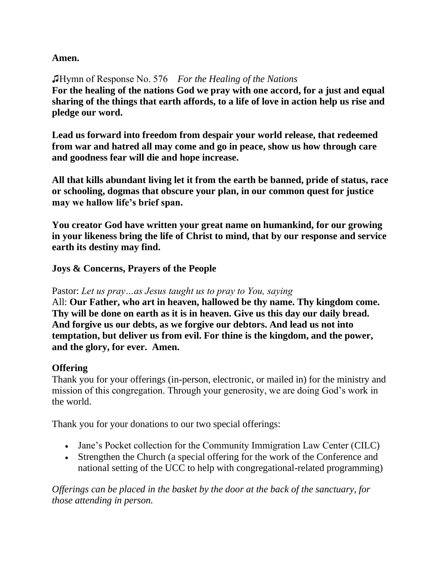# **Amen.**

♫Hymn of Response No. 576 *For the Healing of the Nations* **For the healing of the nations God we pray with one accord, for a just and equal sharing of the things that earth affords, to a life of love in action help us rise and pledge our word.**

**Lead us forward into freedom from despair your world release, that redeemed from war and hatred all may come and go in peace, show us how through care and goodness fear will die and hope increase.**

**All that kills abundant living let it from the earth be banned, pride of status, race or schooling, dogmas that obscure your plan, in our common quest for justice may we hallow life's brief span.**

**You creator God have written your great name on humankind, for our growing in your likeness bring the life of Christ to mind, that by our response and service earth its destiny may find.**

**Joys & Concerns, Prayers of the People** 

#### Pastor: *Let us pray…as Jesus taught us to pray to You, saying*

All: **Our Father, who art in heaven, hallowed be thy name. Thy kingdom come. Thy will be done on earth as it is in heaven. Give us this day our daily bread. And forgive us our debts, as we forgive our debtors. And lead us not into temptation, but deliver us from evil. For thine is the kingdom, and the power, and the glory, for ever. Amen.**

# **Offering**

Thank you for your offerings (in-person, electronic, or mailed in) for the ministry and mission of this congregation. Through your generosity, we are doing God's work in the world.

Thank you for your donations to our two special offerings:

- Jane's Pocket collection for the Community Immigration Law Center (CILC)
- Strengthen the Church (a special offering for the work of the Conference and national setting of the UCC to help with congregational-related programming)

*Offerings can be placed in the basket by the door at the back of the sanctuary, for those attending in person.*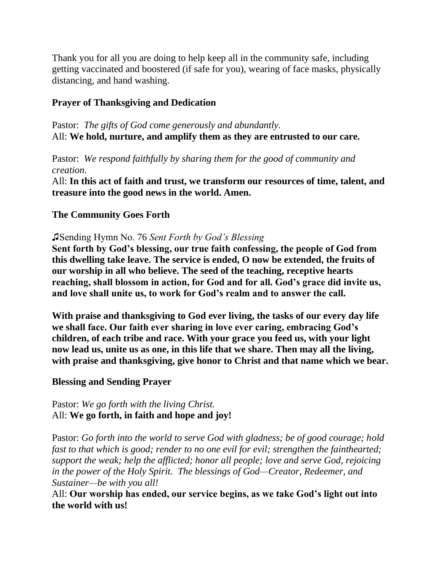Thank you for all you are doing to help keep all in the community safe, including getting vaccinated and boostered (if safe for you), wearing of face masks, physically distancing, and hand washing.

# **Prayer of Thanksgiving and Dedication**

Pastor: *The gifts of God come generously and abundantly.* All: **We hold, nurture, and amplify them as they are entrusted to our care.**

Pastor: *We respond faithfully by sharing them for the good of community and creation.*

All: **In this act of faith and trust, we transform our resources of time, talent, and treasure into the good news in the world. Amen.**

# **The Community Goes Forth**

#### ♫Sending Hymn No. 76 *Sent Forth by God's Blessing*

**Sent forth by God's blessing, our true faith confessing, the people of God from this dwelling take leave. The service is ended, O now be extended, the fruits of our worship in all who believe. The seed of the teaching, receptive hearts reaching, shall blossom in action, for God and for all. God's grace did invite us, and love shall unite us, to work for God's realm and to answer the call.**

**With praise and thanksgiving to God ever living, the tasks of our every day life we shall face. Our faith ever sharing in love ever caring, embracing God's children, of each tribe and race. With your grace you feed us, with your light now lead us, unite us as one, in this life that we share. Then may all the living, with praise and thanksgiving, give honor to Christ and that name which we bear.**

# **Blessing and Sending Prayer**

Pastor: *We go forth with the living Christ.* All: **We go forth, in faith and hope and joy!**

Pastor: *Go forth into the world to serve God with gladness; be of good courage; hold fast to that which is good; render to no one evil for evil; strengthen the fainthearted; support the weak; help the afflicted; honor all people; love and serve God, rejoicing in the power of the Holy Spirit. The blessings of God—Creator, Redeemer, and Sustainer—be with you all!*

All: **Our worship has ended, our service begins, as we take God's light out into the world with us!**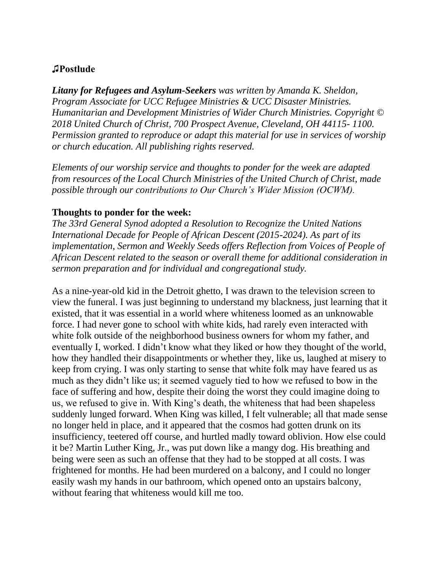# **♫Postlude**

*Litany for Refugees and Asylum-Seekers was written by Amanda K. Sheldon, Program Associate for UCC Refugee Ministries & UCC Disaster Ministries. Humanitarian and Development Ministries of Wider Church Ministries. Copyright © 2018 United Church of Christ, 700 Prospect Avenue, Cleveland, OH 44115- 1100. Permission granted to reproduce or adapt this material for use in services of worship or church education. All publishing rights reserved.*

*Elements of our worship service and thoughts to ponder for the week are adapted from resources of the Local Church Ministries of the United Church of Christ, made possible through our contributions to Our Church's Wider Mission (OCWM).*

#### **Thoughts to ponder for the week:**

*The 33rd General Synod adopted a Resolution to Recognize the United Nations International Decade for People of African Descent (2015-2024). As part of its implementation, Sermon and Weekly Seeds offers Reflection from Voices of People of African Descent related to the season or overall theme for additional consideration in sermon preparation and for individual and congregational study.*

As a nine-year-old kid in the Detroit ghetto, I was drawn to the television screen to view the funeral. I was just beginning to understand my blackness, just learning that it existed, that it was essential in a world where whiteness loomed as an unknowable force. I had never gone to school with white kids, had rarely even interacted with white folk outside of the neighborhood business owners for whom my father, and eventually I, worked. I didn't know what they liked or how they thought of the world, how they handled their disappointments or whether they, like us, laughed at misery to keep from crying. I was only starting to sense that white folk may have feared us as much as they didn't like us; it seemed vaguely tied to how we refused to bow in the face of suffering and how, despite their doing the worst they could imagine doing to us, we refused to give in. With King's death, the whiteness that had been shapeless suddenly lunged forward. When King was killed, I felt vulnerable; all that made sense no longer held in place, and it appeared that the cosmos had gotten drunk on its insufficiency, teetered off course, and hurtled madly toward oblivion. How else could it be? Martin Luther King, Jr., was put down like a mangy dog. His breathing and being were seen as such an offense that they had to be stopped at all costs. I was frightened for months. He had been murdered on a balcony, and I could no longer easily wash my hands in our bathroom, which opened onto an upstairs balcony, without fearing that whiteness would kill me too.